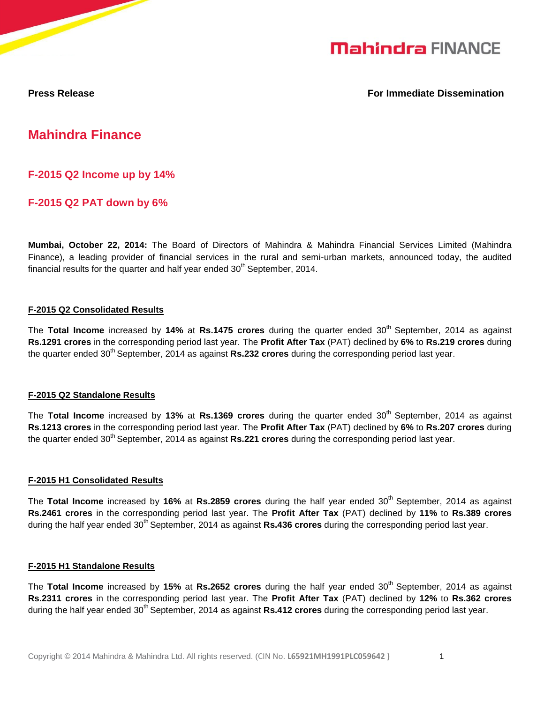

**Press Release For Immediate Dissemination**

# **Mahindra Finance**

**F-2015 Q2 Income up by 14%**

**F-2015 Q2 PAT down by 6%**

**Mumbai, October 22, 2014:** The Board of Directors of Mahindra & Mahindra Financial Services Limited (Mahindra Finance), a leading provider of financial services in the rural and semi-urban markets, announced today, the audited financial results for the quarter and half year ended  $30<sup>th</sup>$  September, 2014.

# **F-2015 Q2 Consolidated Results**

The Total Income increased by 14% at Rs.1475 crores during the quarter ended 30<sup>th</sup> September, 2014 as against **Rs.1291 crores** in the corresponding period last year. The **Profit After Tax** (PAT) declined by **6%** to **Rs.219 crores** during the quarter ended 30<sup>th</sup> September, 2014 as against **Rs.232 crores** during the corresponding period last year.

# **F-2015 Q2 Standalone Results**

The **Total Income** increased by 13% at Rs.1369 crores during the quarter ended 30<sup>th</sup> September, 2014 as against **Rs.1213 crores** in the corresponding period last year. The **Profit After Tax** (PAT) declined by **6%** to **Rs.207 crores** during the quarter ended 30<sup>th</sup> September, 2014 as against **Rs.221 crores** during the corresponding period last year.

#### **F-2015 H1 Consolidated Results**

The Total Income increased by 16% at Rs.2859 crores during the half year ended 30<sup>th</sup> September, 2014 as against **Rs.2461 crores** in the corresponding period last year. The **Profit After Tax** (PAT) declined by **11%** to **Rs.389 crores** during the half year ended 30<sup>th</sup> September, 2014 as against Rs.436 crores during the corresponding period last year.

# **F-2015 H1 Standalone Results**

The Total Income increased by 15% at Rs.2652 crores during the half year ended 30<sup>th</sup> September, 2014 as against **Rs.2311 crores** in the corresponding period last year. The **Profit After Tax** (PAT) declined by **12%** to **Rs.362 crores** during the half year ended 30<sup>th</sup> September, 2014 as against **Rs.412 crores** during the corresponding period last year.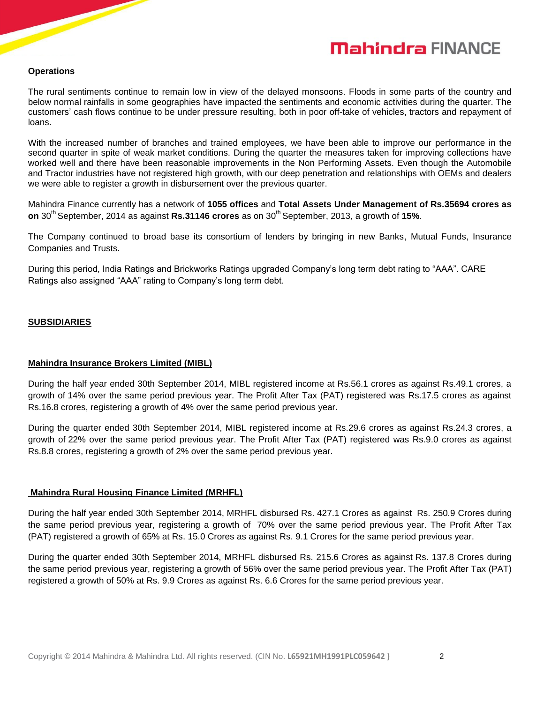# **Mahindra FINANCE**

#### **Operations**

The rural sentiments continue to remain low in view of the delayed monsoons. Floods in some parts of the country and below normal rainfalls in some geographies have impacted the sentiments and economic activities during the quarter. The customers" cash flows continue to be under pressure resulting, both in poor off-take of vehicles, tractors and repayment of loans.

With the increased number of branches and trained employees, we have been able to improve our performance in the second quarter in spite of weak market conditions. During the quarter the measures taken for improving collections have worked well and there have been reasonable improvements in the Non Performing Assets. Even though the Automobile and Tractor industries have not registered high growth, with our deep penetration and relationships with OEMs and dealers we were able to register a growth in disbursement over the previous quarter.

Mahindra Finance currently has a network of **1055 offices** and **Total Assets Under Management of Rs.35694 crores as on** 30<sup>th</sup> September, 2014 as against **Rs.31146 crores** as on 30<sup>th</sup> September, 2013, a growth of 15%.

The Company continued to broad base its consortium of lenders by bringing in new Banks, Mutual Funds, Insurance Companies and Trusts.

During this period, India Ratings and Brickworks Ratings upgraded Company"s long term debt rating to "AAA". CARE Ratings also assigned "AAA" rating to Company's long term debt.

#### **SUBSIDIARIES**

#### **Mahindra Insurance Brokers Limited (MIBL)**

During the half year ended 30th September 2014, MIBL registered income at Rs.56.1 crores as against Rs.49.1 crores, a growth of 14% over the same period previous year. The Profit After Tax (PAT) registered was Rs.17.5 crores as against Rs.16.8 crores, registering a growth of 4% over the same period previous year.

During the quarter ended 30th September 2014, MIBL registered income at Rs.29.6 crores as against Rs.24.3 crores, a growth of 22% over the same period previous year. The Profit After Tax (PAT) registered was Rs.9.0 crores as against Rs.8.8 crores, registering a growth of 2% over the same period previous year.

#### **Mahindra Rural Housing Finance Limited (MRHFL)**

During the half year ended 30th September 2014, MRHFL disbursed Rs. 427.1 Crores as against Rs. 250.9 Crores during the same period previous year, registering a growth of 70% over the same period previous year. The Profit After Tax (PAT) registered a growth of 65% at Rs. 15.0 Crores as against Rs. 9.1 Crores for the same period previous year.

During the quarter ended 30th September 2014, MRHFL disbursed Rs. 215.6 Crores as against Rs. 137.8 Crores during the same period previous year, registering a growth of 56% over the same period previous year. The Profit After Tax (PAT) registered a growth of 50% at Rs. 9.9 Crores as against Rs. 6.6 Crores for the same period previous year.